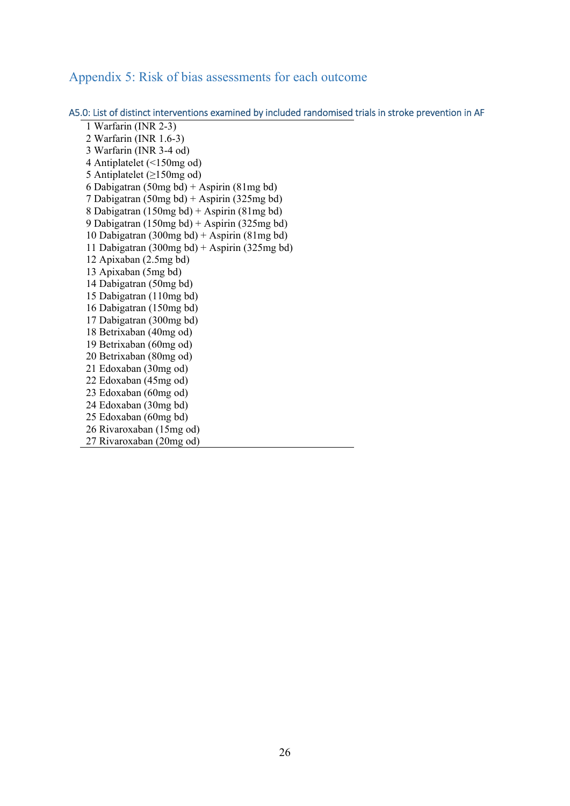## Appendix 5: Risk of bias assessments for each outcome

A5.0: List of distinct interventions examined by included randomised trials in stroke prevention in AF

1 Warfarin (INR 2-3) 2 Warfarin (INR 1.6-3) 3 Warfarin (INR 3-4 od) 4 Antiplatelet (<150mg od) 5 Antiplatelet (≥150mg od) 6 Dabigatran (50mg bd) + Aspirin (81mg bd) 7 Dabigatran (50mg bd) + Aspirin (325mg bd) 8 Dabigatran (150mg bd) + Aspirin (81mg bd) 9 Dabigatran (150mg bd) + Aspirin (325mg bd) 10 Dabigatran (300mg bd) + Aspirin (81mg bd) 11 Dabigatran (300mg bd) + Aspirin (325mg bd) 12 Apixaban (2.5mg bd) 13 Apixaban (5mg bd) 14 Dabigatran (50mg bd) 15 Dabigatran (110mg bd) 16 Dabigatran (150mg bd) 17 Dabigatran (300mg bd) 18 Betrixaban (40mg od) 19 Betrixaban (60mg od) 20 Betrixaban (80mg od) 21 Edoxaban (30mg od) 22 Edoxaban (45mg od) 23 Edoxaban (60mg od) 24 Edoxaban (30mg bd) 25 Edoxaban (60mg bd) 26 Rivaroxaban (15mg od) 27 Rivaroxaban (20mg od)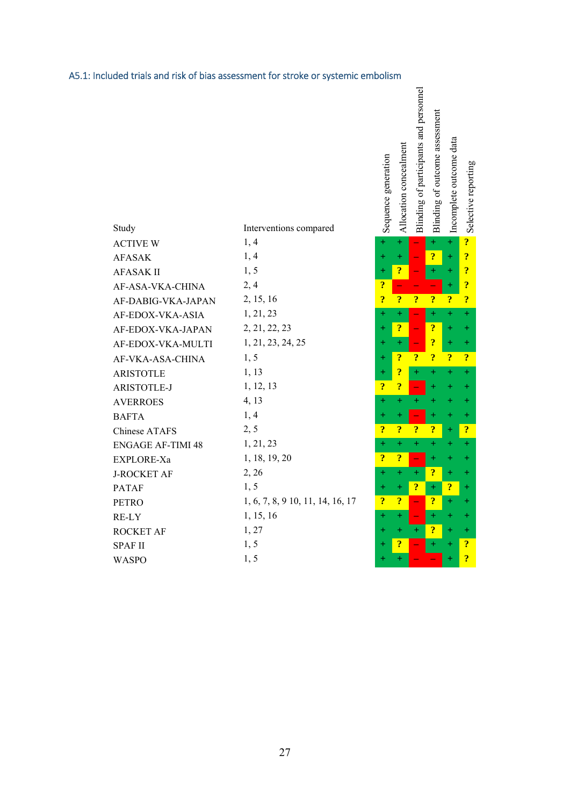# A5.1: Included trials and risk of bias assessment for stroke or systemic embolism

|                          |                                  | Seque                   | Alloc                    | Blind                          | Blind                   | Incom                   |                         |
|--------------------------|----------------------------------|-------------------------|--------------------------|--------------------------------|-------------------------|-------------------------|-------------------------|
| Study                    | Interventions compared           |                         |                          |                                |                         |                         | J                       |
| <b>ACTIVE W</b>          | 1, 4                             | $+$                     | $+$                      |                                | $+$                     | $+$                     | $\ddot{?}$              |
| <b>AFASAK</b>            | 1, 4                             | $+$                     | $+$                      |                                | $\ddot{\bm{c}}$         | $\pm$                   | $\overline{\mathbf{?}}$ |
| <b>AFASAK II</b>         | 1, 5                             | $+$                     | $\ddot{\mathbf{?}}$      |                                | $\pm$                   | $\pm$                   | $\overline{\mathbf{?}}$ |
| AF-ASA-VKA-CHINA         | 2,4                              | $\overline{\mathbf{?}}$ | $\overline{\phantom{0}}$ |                                |                         | $+$                     | $\ddot{\bm{c}}$         |
| AF-DABIG-VKA-JAPAN       | 2, 15, 16                        | $\overline{\mathbf{?}}$ | $\overline{\mathbf{?}}$  | $\overline{\mathbf{?}}$        | $\overline{\mathbf{?}}$ | $\overline{\mathbf{?}}$ | $\ddot{\bm{c}}$         |
| AF-EDOX-VKA-ASIA         | 1, 21, 23                        | $+$                     | $+$                      |                                | $+$                     | $\pm$                   | $\ddot{}$               |
| AF-EDOX-VKA-JAPAN        | 2, 21, 22, 23                    | $\ddot{}$               | $\overline{\mathbf{?}}$  |                                | $\overline{?}$          | ÷                       | $\pm$                   |
| AF-EDOX-VKA-MULTI        | 1, 21, 23, 24, 25                | $\pm$                   | $+$                      |                                | ?                       | $\pm$                   | $\pm$                   |
| AF-VKA-ASA-CHINA         | 1, 5                             | $\pm$                   | $\overline{\mathbf{?}}$  | $\ddot{?}$                     | $\overline{\mathbf{?}}$ | $\ddot{\mathbf{?}}$     | $\ddot{\bm{c}}$         |
| <b>ARISTOTLE</b>         | 1, 13                            | $+$                     | $\ddot{\mathbf{?}}$      | $+$                            | $+$                     | $+$                     | $\ddot{}$               |
| ARISTOTLE-J              | 1, 12, 13                        | $\overline{\cdot}$      | $\ddot{\mathbf{?}}$      |                                | $+$                     | $\pm$                   | $\ddot{}$               |
| <b>AVERROES</b>          | 4, 13                            | $\pm$                   | $+$                      | $+$                            |                         | $\pm$                   | $\ddot{}$               |
| <b>BAFTA</b>             | 1, 4                             | $\pm$                   | $\pm$                    | $\overline{\phantom{0}}$       | $+$                     | $\pm$                   | $\pm$                   |
| Chinese ATAFS            | 2, 5                             | $\ddot{?}$              | $\ddot{\mathbf{?}}$      | $\ddot{?}$                     | $\ddot{\mathbf{?}}$     | $\pm$                   | $\cdot$                 |
| <b>ENGAGE AF-TIMI 48</b> | 1, 21, 23                        | $\pm$                   | $+$                      | $\pm$                          | $\pm$                   | +                       | $\pm$                   |
| EXPLORE-Xa               | 1, 18, 19, 20                    | $\overline{\mathbf{?}}$ | $\ddot{?}$               | $\overline{\phantom{a}}$       | $+$                     | ┿                       | $\ddot{}$               |
| <b>J-ROCKET AF</b>       | 2, 26                            | $\pm$                   | $+$                      | $+$                            | $\overline{\cdot}$      | ÷                       | $\pm$                   |
| <b>PATAF</b>             | 1, 5                             | $\pm$                   | $+$                      | $\ddot{?}$                     | $\pm$                   | $\ddot{\bm{c}}$         | $\pm$                   |
| <b>PETRO</b>             | 1, 6, 7, 8, 9 10, 11, 14, 16, 17 | $\overline{\mathbf{?}}$ | $\ddot{?}$               | $\overline{\phantom{m}}$       | $\ddot{?}$              | $\pm$                   | $\pm$                   |
| RE-LY                    | 1, 15, 16                        | $+$                     | $+$                      | $\qquad \qquad \longleftarrow$ | $\pm$                   |                         | $\pm$                   |
| <b>ROCKET AF</b>         | 1, 27                            | $\pm$                   | $+$                      | $+$                            | $\overline{\mathbf{?}}$ | +                       | $\pm$                   |
| <b>SPAFII</b>            | 1, 5                             | $\ddot{}$               | $\ddot{\mathbf{?}}$      |                                | $\pm$                   |                         | $\ddot{\bm{c}}$         |
| <b>WASPO</b>             | 1, 5                             | $\ddot{}$               | $+$                      |                                |                         | $+$                     | $\ddot{\mathbf{c}}$     |

| momento acquaince and the set of $\frac{1}{2} + \frac{1}{2} + \frac{1}{2} + \frac{1}{2} + \frac{1}{2} + \frac{1}{2} + \frac{1}{2} + \frac{1}{2} + \frac{1}{2} + \frac{1}{2} + \frac{1}{2} + \frac{1}{2} + \frac{1}{2} + \frac{1}{2} + \frac{1}{2} + \frac{1}{2} + \frac{1}{2} + \frac{1}{2} + \frac{1}{2} + \frac{1}{2} + \frac{1}{2} + \frac{1}{2} + \frac{1}{2} + \frac{$ | Blinding of participants and personnel<br>$\frac{1}{1} + \frac{1}{2} + \frac{1}{3} + \frac{1}{4} + \frac{1}{5} + \frac{1}{6} + \frac{1}{7} + \frac{1}{8} + \frac{1}{10} + \frac{1}{10}$<br>$\frac{1}{10} + \frac{1}{10} + \frac{1}{10} + \frac{1}{10} + \frac{1}{10} + \frac{1}{10} + \frac{1}{10} + \frac{1}{10} + \frac{1}{10} + \frac{1}{10} + \frac{1}{$ |  | stated to the state of the state of the state of the state of the state of the state of the state of the state of the state of the state of the state of the state of the state of the state of the state of the state of the |
|-----------------------------------------------------------------------------------------------------------------------------------------------------------------------------------------------------------------------------------------------------------------------------------------------------------------------------------------------------------------------------|--------------------------------------------------------------------------------------------------------------------------------------------------------------------------------------------------------------------------------------------------------------------------------------------------------------------------------------------------------------|--|-------------------------------------------------------------------------------------------------------------------------------------------------------------------------------------------------------------------------------|
|                                                                                                                                                                                                                                                                                                                                                                             |                                                                                                                                                                                                                                                                                                                                                              |  |                                                                                                                                                                                                                               |
|                                                                                                                                                                                                                                                                                                                                                                             |                                                                                                                                                                                                                                                                                                                                                              |  |                                                                                                                                                                                                                               |
|                                                                                                                                                                                                                                                                                                                                                                             |                                                                                                                                                                                                                                                                                                                                                              |  |                                                                                                                                                                                                                               |
|                                                                                                                                                                                                                                                                                                                                                                             |                                                                                                                                                                                                                                                                                                                                                              |  |                                                                                                                                                                                                                               |
|                                                                                                                                                                                                                                                                                                                                                                             |                                                                                                                                                                                                                                                                                                                                                              |  |                                                                                                                                                                                                                               |
|                                                                                                                                                                                                                                                                                                                                                                             |                                                                                                                                                                                                                                                                                                                                                              |  |                                                                                                                                                                                                                               |
|                                                                                                                                                                                                                                                                                                                                                                             |                                                                                                                                                                                                                                                                                                                                                              |  |                                                                                                                                                                                                                               |
|                                                                                                                                                                                                                                                                                                                                                                             |                                                                                                                                                                                                                                                                                                                                                              |  |                                                                                                                                                                                                                               |
|                                                                                                                                                                                                                                                                                                                                                                             |                                                                                                                                                                                                                                                                                                                                                              |  |                                                                                                                                                                                                                               |
|                                                                                                                                                                                                                                                                                                                                                                             |                                                                                                                                                                                                                                                                                                                                                              |  |                                                                                                                                                                                                                               |
|                                                                                                                                                                                                                                                                                                                                                                             |                                                                                                                                                                                                                                                                                                                                                              |  |                                                                                                                                                                                                                               |
|                                                                                                                                                                                                                                                                                                                                                                             |                                                                                                                                                                                                                                                                                                                                                              |  |                                                                                                                                                                                                                               |
|                                                                                                                                                                                                                                                                                                                                                                             |                                                                                                                                                                                                                                                                                                                                                              |  |                                                                                                                                                                                                                               |
|                                                                                                                                                                                                                                                                                                                                                                             |                                                                                                                                                                                                                                                                                                                                                              |  |                                                                                                                                                                                                                               |
|                                                                                                                                                                                                                                                                                                                                                                             |                                                                                                                                                                                                                                                                                                                                                              |  |                                                                                                                                                                                                                               |
|                                                                                                                                                                                                                                                                                                                                                                             |                                                                                                                                                                                                                                                                                                                                                              |  |                                                                                                                                                                                                                               |
|                                                                                                                                                                                                                                                                                                                                                                             |                                                                                                                                                                                                                                                                                                                                                              |  |                                                                                                                                                                                                                               |
|                                                                                                                                                                                                                                                                                                                                                                             |                                                                                                                                                                                                                                                                                                                                                              |  |                                                                                                                                                                                                                               |
|                                                                                                                                                                                                                                                                                                                                                                             |                                                                                                                                                                                                                                                                                                                                                              |  |                                                                                                                                                                                                                               |
|                                                                                                                                                                                                                                                                                                                                                                             |                                                                                                                                                                                                                                                                                                                                                              |  |                                                                                                                                                                                                                               |
|                                                                                                                                                                                                                                                                                                                                                                             |                                                                                                                                                                                                                                                                                                                                                              |  |                                                                                                                                                                                                                               |
|                                                                                                                                                                                                                                                                                                                                                                             |                                                                                                                                                                                                                                                                                                                                                              |  |                                                                                                                                                                                                                               |
|                                                                                                                                                                                                                                                                                                                                                                             |                                                                                                                                                                                                                                                                                                                                                              |  |                                                                                                                                                                                                                               |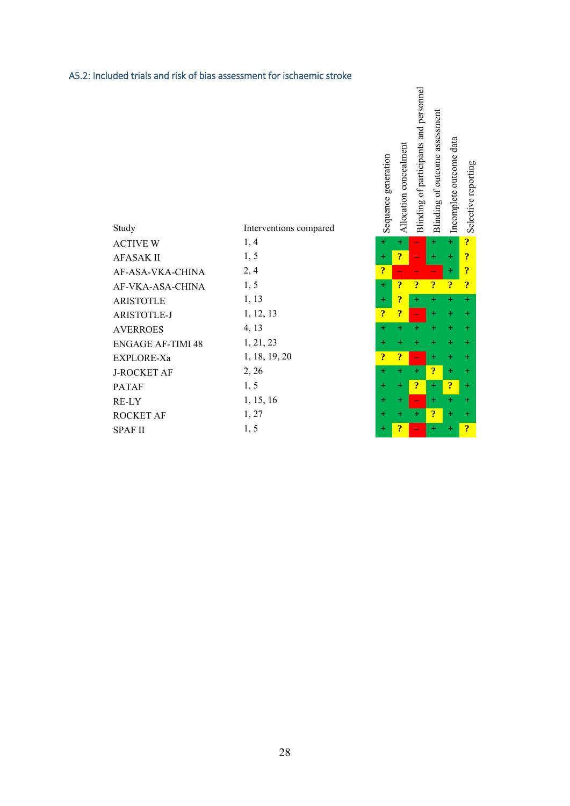### A5.2: Included trials and risk of bias assessment for ischaemic stroke

| Study                    | Interventions compared | $S_{\mathcal{C}}$       | $\overline{A}$          | Бİ                       | Бİ                      | $\overline{a}$          | $\frac{1}{6}$           |
|--------------------------|------------------------|-------------------------|-------------------------|--------------------------|-------------------------|-------------------------|-------------------------|
| <b>ACTIVE W</b>          | 1, 4                   | $\pm$                   | $+$                     |                          | $+$                     | $+$                     | $\ddot{\mathbf{?}}$     |
| AFASAK II                | 1, 5                   | $+$                     | $\ddot{?}$              | $\overline{\phantom{0}}$ | $\pm$                   | $\pm$                   | $\ddot{\bm{c}}$         |
| AF-ASA-VKA-CHINA         | 2, 4                   | $\overline{\mathbf{?}}$ |                         |                          |                         | $\pm$                   | $\ddot{\bm{c}}$         |
| AF-VKA-ASA-CHINA         | 1, 5                   | $+$                     | $\overline{\mathbf{r}}$ | $\overline{\mathbf{?}}$  | $\overline{?}$          | $\overline{?}$          | $\overline{\mathbf{?}}$ |
| <b>ARISTOTLE</b>         | 1, 13                  | $+$                     | ?                       | $+$                      |                         |                         | $\overline{+}$          |
| <b>ARISTOTLE-J</b>       | 1, 12, 13              | $\overline{\mathbf{r}}$ | $\cdot$                 |                          | $+$                     |                         | $\ddot{}$               |
| <b>AVERROES</b>          | 4, 13                  | $\div$                  | $+$                     |                          |                         |                         | $+$                     |
| <b>ENGAGE AF-TIMI 48</b> | 1, 21, 23              | $\pm$                   | $\pm$                   |                          |                         |                         | $\overline{+}$          |
| EXPLORE-Xa               | 1, 18, 19, 20          | $\overline{\mathbf{?}}$ | $\overline{?}$          |                          | $+$                     |                         | $\pm$                   |
| <b>J-ROCKET AF</b>       | 2, 26                  | $\pm$                   | $+$                     | $+$                      | $\overline{\mathbf{r}}$ | $\pm$                   | $\pm$                   |
| PATAF                    | 1, 5                   | $\pm$                   | $+$                     | $\overline{?}$           | $+$                     | $\overline{\mathbf{r}}$ | $\ddot{}$               |
| RE-LY                    | 1, 15, 16              | $\pm$                   | $+$                     |                          | $\pm$                   |                         | $\ddot{}$               |
| ROCKET AF                | 1, 27                  | $\pm$                   | $\pm$                   | $+$                      | $\boldsymbol{?}$        | $\pm$                   | $\pm$                   |
| SPAF II                  | 1, 5                   | $+$                     | $\ddot{?}$              |                          | $+$                     |                         | $\overline{\mathbf{?}}$ |

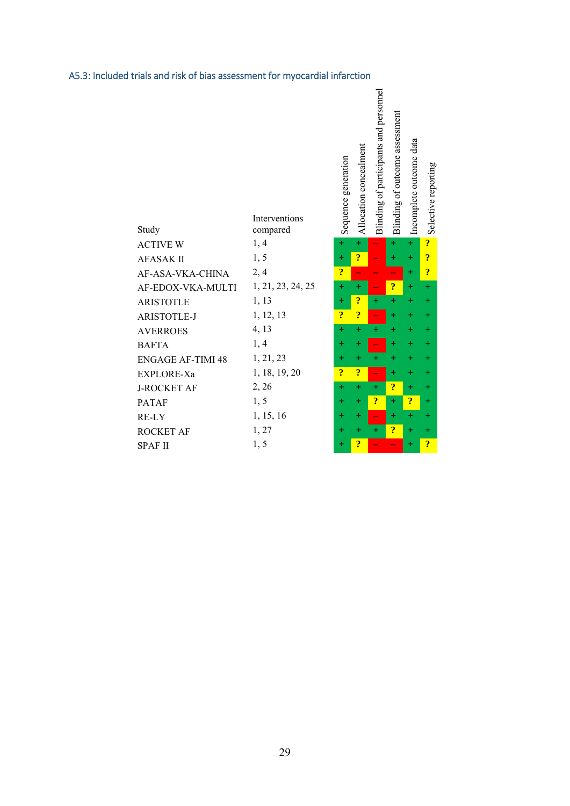### Blinding of participants and personnel Blinding of participants and personnel Blinding of outcome assessment Blinding of outcome assessment Incomplete outcome data Incomplete outcome data Allocation concealment Allocation concealment Sequence generation Sequence generation Interventions Study compared ACTIVE W 1, 4 **+ + – + + ?** AFASAK II 1, 5 **+ ? – + + ?** AF-ASA-VKA-CHINA 2, 4 **? – – – + ?** AF-EDOX-VKA-MULTI 1, 21, 23, 24, 25 **+ + – ? + +** ARISTOTLE 1, 13 **+ ? + + + + ARISTOTLE-J** 1, 12, 13 **? ?** AVERROES 4, 13 **+ + + + + +** BAFTA 1, 4 **+ + – + + +** ENGAGE AF-TIMI 48 1, 21, 23 **+ + + + + + EXPLORE-Xa** 1, 18, 19, 20 **???**  $J-ROCKET AF$  2, 26 + +  $+$   $+$  2 PATAF 1, 5 **+ + ? + ? +** RE-LY 1, 15, 16 **+ + – + + +** ROCKET AF 1, 27 **+ + + ? + +** SPAF II 1, 5 **+ ?**  $-$  **+ ?**

Selective reporting

Selective reporting

#### A5.3: Included trials and risk of bias assessment for myocardial infarction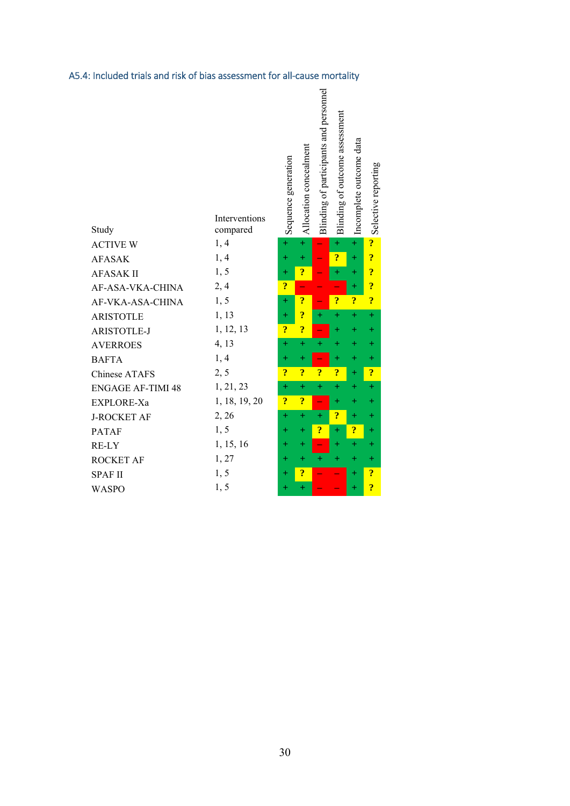|  | A5.4: Included trials and risk of bias assessment for all-cause mortality |
|--|---------------------------------------------------------------------------|
|--|---------------------------------------------------------------------------|

| Study                    | Interventions<br>compared | Sequence generation     | Allocation concealment  | Blinding of participants and personnel | Blinding of outcome assessment | Incomplete outcome data | Selective reporting     |
|--------------------------|---------------------------|-------------------------|-------------------------|----------------------------------------|--------------------------------|-------------------------|-------------------------|
| <b>ACTIVE W</b>          | 1, 4                      | $\ddot{}$               | $\ddot{}$               | ÷,                                     | $\ddot{}$                      | $\ddot{}$               | $\ddot{\mathbf{?}}$     |
| <b>AFASAK</b>            | 1, 4                      | $\ddot{}$               | $\ddot{}$               |                                        | $\ddot{\mathbf{c}}$            | $\ddot{}$               | $\ddot{\mathbf{c}}$     |
| <b>AFASAK II</b>         | 1, 5                      | $\ddot{}$               | $\ddot{\bm{c}}$         |                                        | $\ddot{}$                      | $\pm$                   | $\ddot{\mathbf{c}}$     |
| AF-ASA-VKA-CHINA         | 2,4                       | $\overline{\mathbf{?}}$ | ÷                       |                                        |                                | $\pm$                   | $\ddot{\mathbf{?}}$     |
| AF-VKA-ASA-CHINA         | 1, 5                      | $\ddot{}$               | $\ddot{?}$              | ۳                                      | $\overline{?}$                 | $\ddot{\mathbf{?}}$     | $\ddot{\mathbf{c}}$     |
| <b>ARISTOTLE</b>         | 1, 13                     | $\ddot{}$               | $\ddot{?}$              | $+$                                    | $\ddot{}$                      | $\ddot{}$               | $\ddot{}$               |
| <b>ARISTOTLE-J</b>       | 1, 12, 13                 | $\ddot{?}$              | $\overline{\cdot}$      | ÷                                      | $\ddot{}$                      | $\color{red}+$          | $\color{red}+$          |
| <b>AVERROES</b>          | 4, 13                     | $\ddot{}$               | $\ddot{}$               | $\ddot{}$                              | $\ddot{}$                      | $\pm$                   | $\pm$                   |
| <b>BAFTA</b>             | 1, 4                      | $\pm$                   | $\pm$                   | ÷                                      | $\pm$                          | $\pm$                   | $\pm$                   |
| <b>Chinese ATAFS</b>     | 2, 5                      | $\overline{\mathbf{?}}$ | $\overline{\mathbf{?}}$ | $\ddot{?}$                             | $\ddot{?}$                     | $\ddot{}$               | $\ddot{\mathbf{?}}$     |
| <b>ENGAGE AF-TIMI 48</b> | 1, 21, 23                 | $\ddot{}$               | $\ddot{}$               | $\ddot{}$                              | $\ddot{}$                      | $\pm$                   | $\ddot{}$               |
| EXPLORE-Xa               | 1, 18, 19, 20             | $\ddot{?}$              | $\ddot{\mathbf{?}}$     | ÷,                                     | $\ddot{}$                      | $^{+}$                  | $\boldsymbol{+}$        |
| <b>J-ROCKET AF</b>       | 2, 26                     | $\pm$                   | $\ddot{}$               | $+$                                    | $\overline{\mathbf{?}}$        | $\pm$                   | $\pm$                   |
| <b>PATAF</b>             | 1, 5                      | $+$                     | $+$                     | $\ddot{\bm{c}}$                        | $\ddot{}$                      | $\ddot{\cdot}$          | $\hspace{0.1mm} +$      |
| RE-LY                    | 1, 15, 16                 | $\pm$                   | $\ddot{}$               | ÷                                      | $\ddot{}$                      | $\ddot{}$               | $\hspace{0.1mm} +$      |
| <b>ROCKET AF</b>         | 1,27                      | $\ddot{}$               | $\ddot{}$               | $+$                                    | $+$                            | $\ddot{}$               | $\color{red}+$          |
| <b>SPAF II</b>           | 1, 5                      | $\pm$                   | $\ddot{\mathbf{?}}$     |                                        |                                | $\ddot{}$               | $\ddot{\mathbf{3}}$     |
| <b>WASPO</b>             | 1, 5                      | $\pm$                   | $\ddot{}$               |                                        |                                | $\pm$                   | $\overline{\mathbf{?}}$ |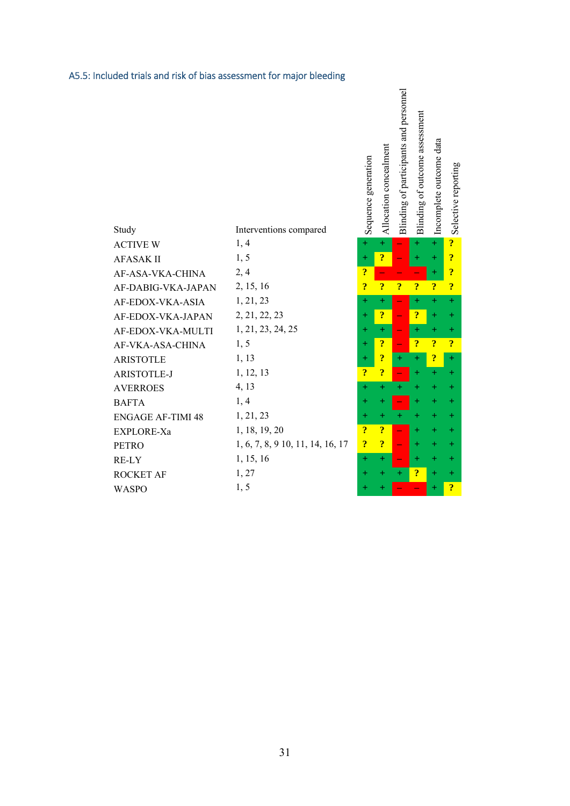## A5.5: Included trials and risk of bias assessment for major bleeding

| Study                    | Interventions compared           | Sequence                | Allocation              | 0<br><b>Blinding</b>     | 0<br>Blinding           | Incomplete              | Salactiva               |
|--------------------------|----------------------------------|-------------------------|-------------------------|--------------------------|-------------------------|-------------------------|-------------------------|
| <b>ACTIVE W</b>          | 1, 4                             | $+$                     | $+$                     |                          | $+$                     | $+$                     | $\overline{\mathbf{?}}$ |
| <b>AFASAK II</b>         | 1, 5                             | $+$                     | $\overline{\mathbf{?}}$ |                          | $\pm$                   | $+$                     | $\ddot{?}$              |
| AF-ASA-VKA-CHINA         | 2, 4                             | ?                       |                         |                          |                         | $+$                     | $\overline{\mathbf{?}}$ |
| AF-DABIG-VKA-JAPAN       | 2, 15, 16                        | ?                       | $\overline{\mathbf{?}}$ | $\overline{?}$           | $\overline{\mathbf{?}}$ | $\overline{\mathbf{?}}$ | $\overline{\cdot}$      |
| AF-EDOX-VKA-ASIA         | 1, 21, 23                        | $+$                     | $+$                     |                          | $+$                     | $+$                     | $+$                     |
| AF-EDOX-VKA-JAPAN        | 2, 21, 22, 23                    | $+$                     | $\overline{\mathbf{?}}$ |                          | ?                       | $+$                     | $+$                     |
| AF-EDOX-VKA-MULTI        | 1, 21, 23, 24, 25                | $+$                     | $+$                     |                          | $\pm$                   | $+$                     | $+$                     |
| AF-VKA-ASA-CHINA         | 1, 5                             | $+$                     | $\overline{\mathbf{r}}$ | $\overline{\phantom{0}}$ | $\overline{?}$          | $\overline{\mathbf{?}}$ | $\overline{?}$          |
| <b>ARISTOTLE</b>         | 1, 13                            | $+$                     | $\overline{\mathbf{?}}$ | $+$                      | $+$                     | $\ddot{\mathbf{3}}$     | $+$                     |
| <b>ARISTOTLE-J</b>       | 1, 12, 13                        | ?                       | $\boldsymbol{?}$        |                          | $+$                     | $+$                     | $+$                     |
| <b>AVERROES</b>          | 4, 13                            | $+$                     | $+$                     | $+$                      | $+$                     | $\pm$                   | $+$                     |
| <b>BAFTA</b>             | 1, 4                             | $+$                     | $+$                     |                          | $+$                     | $+$                     | $+$                     |
| <b>ENGAGE AF-TIMI 48</b> | 1, 21, 23                        | $+$                     | $\pm$                   |                          | $+$                     | $+$                     | $+$                     |
| EXPLORE-Xa               | 1, 18, 19, 20                    | $\overline{\mathbf{?}}$ | $\ddot{?}$              |                          | $+$                     | $+$                     | $+$                     |
| <b>PETRO</b>             | 1, 6, 7, 8, 9 10, 11, 14, 16, 17 | $\overline{\mathbf{r}}$ | $\overline{\mathbf{r}}$ |                          | $+$                     | $\pm$                   | $\pm$                   |
| RE-LY                    | 1, 15, 16                        | $+$                     | $+$                     |                          | $+$                     | $+$                     | $\pm$                   |
| <b>ROCKET AF</b>         | 1, 27                            | $+$                     | $\pm$                   | $+$                      | $\boldsymbol{v}$        | $+$                     | $+$                     |
| <b>WASPO</b>             | 1, 5                             | $+$                     | $+$                     |                          |                         | $+$                     | $\overline{\cdot}$      |

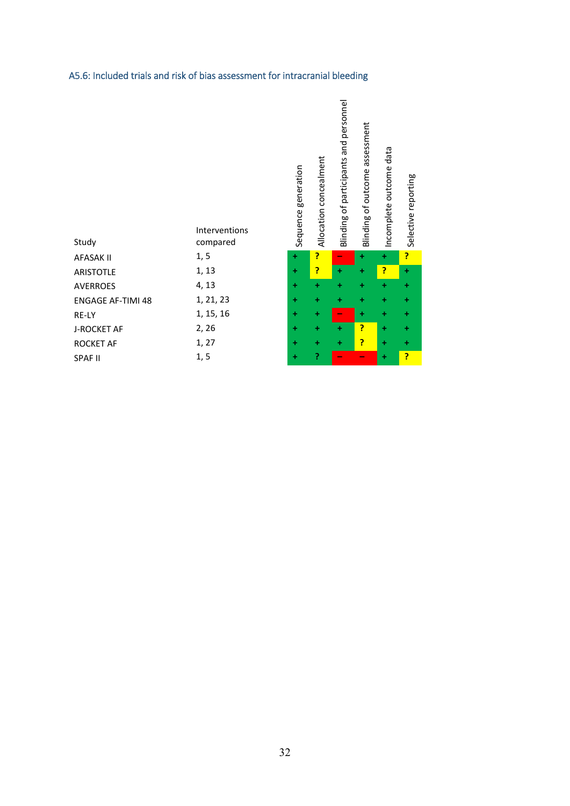| Study                    | Interventions<br>compared | generation<br>Sequence | Allocation concealment | personnel<br>participants and<br>$\sigma$<br>Blinding | assessment<br>of outcome<br>Blinding | Incomplete outcome data |   |
|--------------------------|---------------------------|------------------------|------------------------|-------------------------------------------------------|--------------------------------------|-------------------------|---|
| <b>AFASAK II</b>         | 1, 5                      | $\ddot{}$              | P                      | -                                                     | ÷                                    | ÷                       | 7 |
| <b>ARISTOTLE</b>         | 1, 13                     | $\ddot{}$              | P                      | ÷                                                     | ÷                                    | ?                       | ł |
| <b>AVERROES</b>          | 4, 13                     | ÷                      | ÷                      | ÷                                                     | ÷                                    | ÷                       |   |
| <b>ENGAGE AF-TIMI 48</b> | 1, 21, 23                 | ÷                      | ÷                      | ÷                                                     | ÷                                    | ÷                       |   |
| RE-LY                    | 1, 15, 16                 | ÷                      | ÷                      | -                                                     | ÷                                    | ÷                       | 4 |
| <b>J-ROCKET AF</b>       | 2, 26                     | ÷                      | ÷                      | ÷                                                     | P                                    | ÷                       |   |
| <b>ROCKET AF</b>         | 1, 27                     | ÷                      | ÷                      | ÷                                                     | P                                    | ÷                       |   |
| <b>SPAF II</b>           | 1, 5                      | ÷                      | P                      | -                                                     | $\overline{\phantom{a}}$             | ÷                       | P |

Selective reporting

# A5.6: Included trials and risk of bias assessment for intracranial bleeding